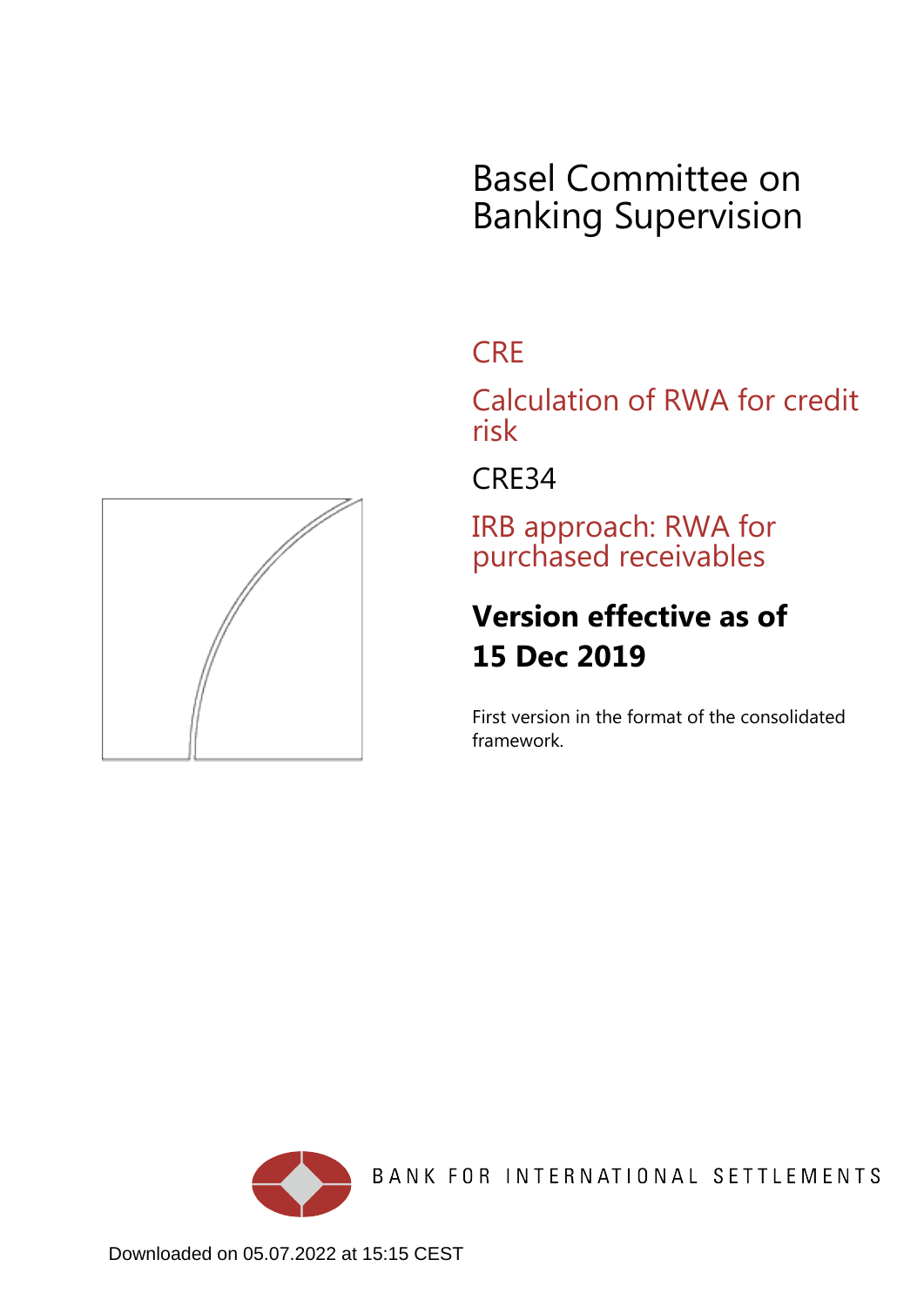# Basel Committee on Banking Supervision

## **CRE**

Calculation of RWA for credit risk

CRE34

IRB approach: RWA for purchased receivables

## **Version effective as of 15 Dec 2019**

First version in the format of the consolidated framework.



BANK FOR INTERNATIONAL SETTLEMENTS

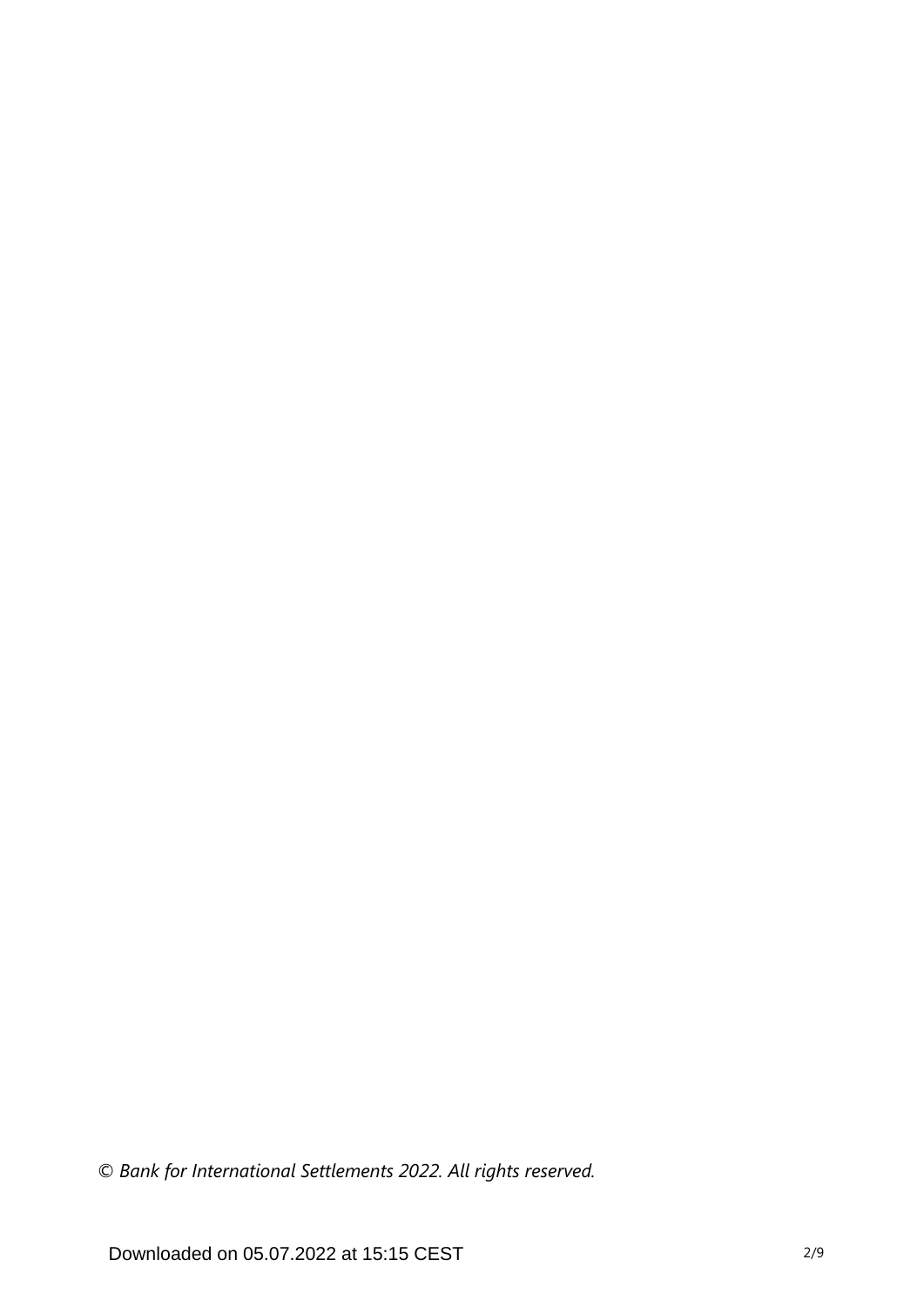*© Bank for International Settlements 2022. All rights reserved.*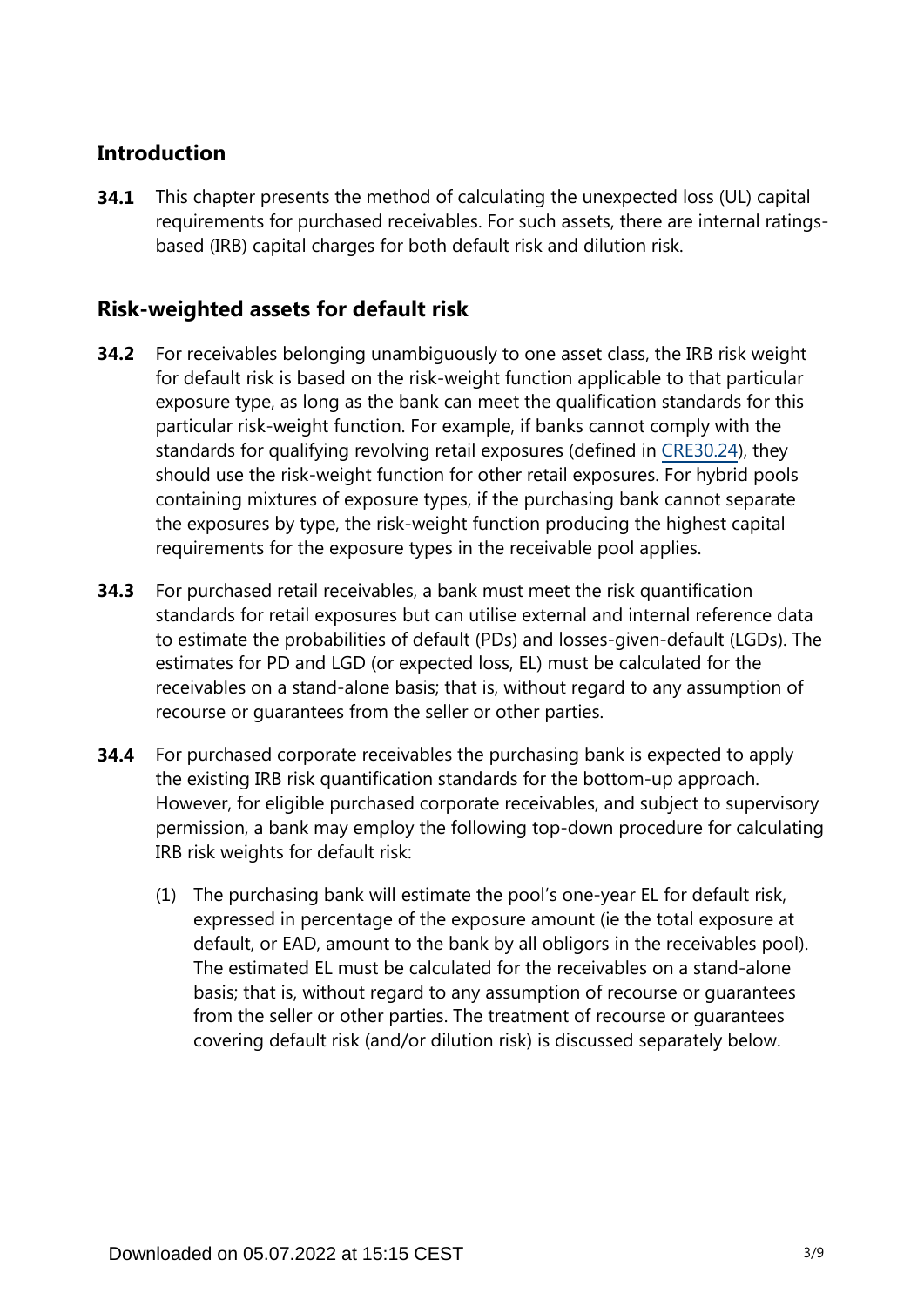## **Introduction**

This chapter presents the method of calculating the unexpected loss (UL) capital requirements for purchased receivables. For such assets, there are internal ratingsbased (IRB) capital charges for both default risk and dilution risk. **34.1**

### **Risk-weighted assets for default risk**

- For receivables belonging unambiguously to one asset class, the IRB risk weight for default risk is based on the risk-weight function applicable to that particular exposure type, as long as the bank can meet the qualification standards for this particular risk-weight function. For example, if banks cannot comply with the standards for qualifying revolving retail exposures (defined in [CRE30.24\)](https://www.bis.org/basel_framework/chapter/CRE/30.htm?tldate=20220101&inforce=20191215&published=20191215#paragraph_CRE_30_20191215_30_24), they should use the risk-weight function for other retail exposures. For hybrid pools containing mixtures of exposure types, if the purchasing bank cannot separate the exposures by type, the risk-weight function producing the highest capital requirements for the exposure types in the receivable pool applies. **34.2**
- For purchased retail receivables, a bank must meet the risk quantification standards for retail exposures but can utilise external and internal reference data to estimate the probabilities of default (PDs) and losses-given-default (LGDs). The estimates for PD and LGD (or expected loss, EL) must be calculated for the receivables on a stand-alone basis; that is, without regard to any assumption of recourse or guarantees from the seller or other parties. **34.3**
- For purchased corporate receivables the purchasing bank is expected to apply the existing IRB risk quantification standards for the bottom-up approach. However, for eligible purchased corporate receivables, and subject to supervisory permission, a bank may employ the following top-down procedure for calculating IRB risk weights for default risk: **34.4**
	- (1) The purchasing bank will estimate the pool's one-year EL for default risk, expressed in percentage of the exposure amount (ie the total exposure at default, or EAD, amount to the bank by all obligors in the receivables pool). The estimated EL must be calculated for the receivables on a stand-alone basis; that is, without regard to any assumption of recourse or guarantees from the seller or other parties. The treatment of recourse or guarantees covering default risk (and/or dilution risk) is discussed separately below.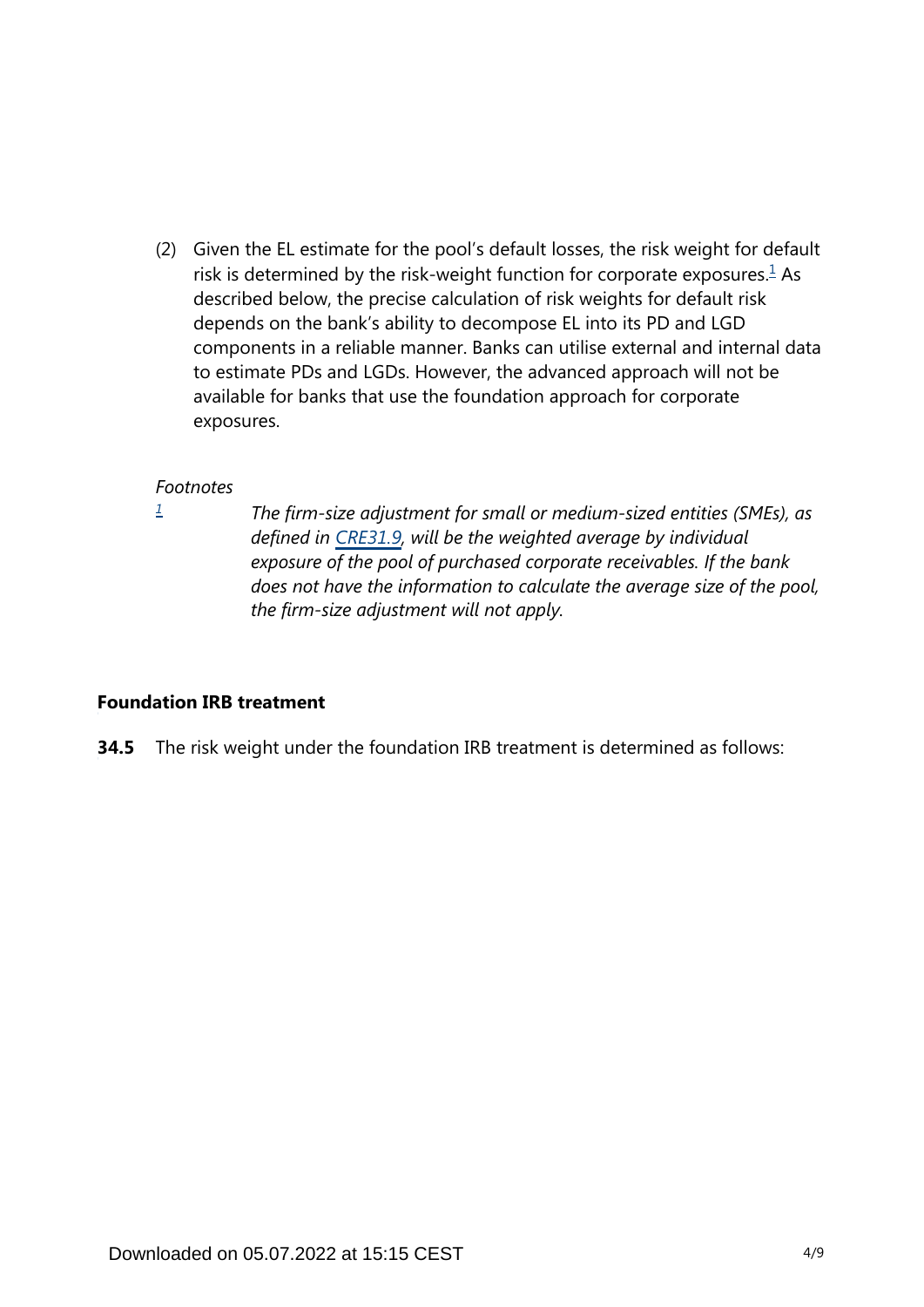<span id="page-3-1"></span>(2) Given the EL estimate for the pool's default losses, the risk weight for default risk is determined by the risk-weight function for corporate exposures. $<sup>1</sup>$  $<sup>1</sup>$  $<sup>1</sup>$  As</sup> described below, the precise calculation of risk weights for default risk depends on the bank's ability to decompose EL into its PD and LGD components in a reliable manner. Banks can utilise external and internal data to estimate PDs and LGDs. However, the advanced approach will not be available for banks that use the foundation approach for corporate exposures.

#### *Footnotes*

<span id="page-3-0"></span>*[1](#page-3-1)*

*The firm-size adjustment for small or medium-sized entities (SMEs), as defined in [CRE31.9,](https://www.bis.org/basel_framework/chapter/CRE/31.htm?tldate=20220101&inforce=20191215&published=20191215#paragraph_CRE_31_20191215_31_9) will be the weighted average by individual exposure of the pool of purchased corporate receivables. If the bank does not have the information to calculate the average size of the pool, the firm-size adjustment will not apply.*

#### **Foundation IRB treatment**

**34.5** The risk weight under the foundation IRB treatment is determined as follows: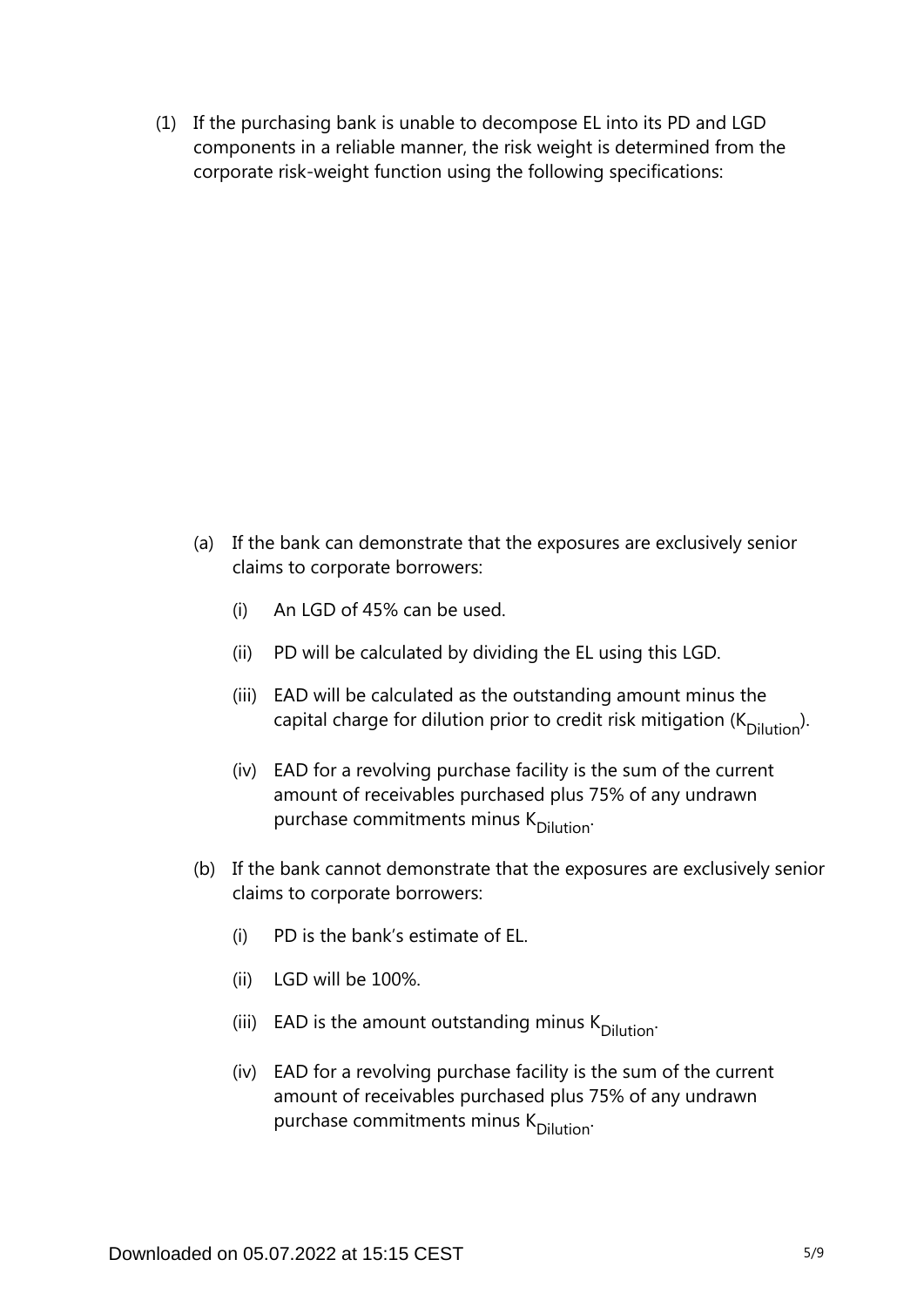(1) If the purchasing bank is unable to decompose EL into its PD and LGD components in a reliable manner, the risk weight is determined from the corporate risk-weight function using the following specifications:

- (a) If the bank can demonstrate that the exposures are exclusively senior claims to corporate borrowers:
	- (i) An LGD of 45% can be used.
	- (ii) PD will be calculated by dividing the EL using this LGD.
	- (iii) EAD will be calculated as the outstanding amount minus the capital charge for dilution prior to credit risk mitigation ( $K_{\text{Dilution}}$ ).
	- (iv) EAD for a revolving purchase facility is the sum of the current amount of receivables purchased plus 75% of any undrawn purchase commitments minus K<sub>Dilution</sub>.
- (b) If the bank cannot demonstrate that the exposures are exclusively senior claims to corporate borrowers:
	- (i) PD is the bank's estimate of EL.
	- (ii) LGD will be 100%.
	- (iii) EAD is the amount outstanding minus  $K_{\text{Dilution}}$ .
	- (iv) EAD for a revolving purchase facility is the sum of the current amount of receivables purchased plus 75% of any undrawn purchase commitments minus K<sub>Dilution</sub>.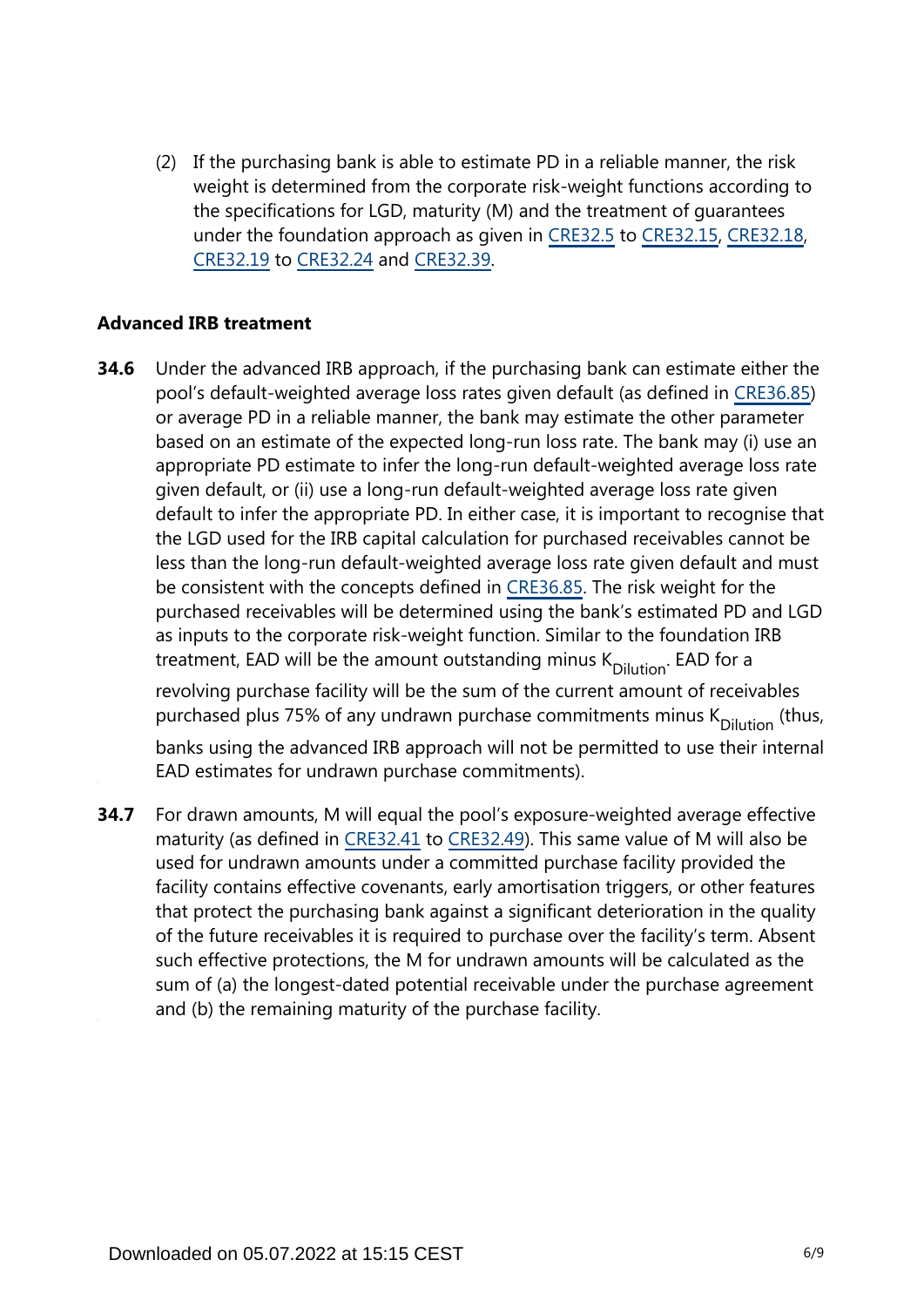(2) If the purchasing bank is able to estimate PD in a reliable manner, the risk weight is determined from the corporate risk-weight functions according to the specifications for LGD, maturity (M) and the treatment of guarantees under the foundation approach as given in [CRE32.5](https://www.bis.org/basel_framework/chapter/CRE/32.htm?tldate=20220101&inforce=20191215&published=20191215#paragraph_CRE_32_20191215_32_5) to [CRE32.15,](https://www.bis.org/basel_framework/chapter/CRE/32.htm?tldate=20220101&inforce=20191215&published=20191215#paragraph_CRE_32_20191215_32_15) [CRE32.18,](https://www.bis.org/basel_framework/chapter/CRE/32.htm?tldate=20220101&inforce=20191215&published=20191215#paragraph_CRE_32_20191215_32_18) [CRE32.19](https://www.bis.org/basel_framework/chapter/CRE/32.htm?tldate=20220101&inforce=20191215&published=20191215#paragraph_CRE_32_20191215_32_19) to [CRE32.24](https://www.bis.org/basel_framework/chapter/CRE/32.htm?tldate=20220101&inforce=20191215&published=20191215#paragraph_CRE_32_20191215_32_24) and [CRE32.39](https://www.bis.org/basel_framework/chapter/CRE/32.htm?tldate=20220101&inforce=20191215&published=20191215#paragraph_CRE_32_20191215_32_39).

#### **Advanced IRB treatment**

- Under the advanced IRB approach, if the purchasing bank can estimate either the pool's default-weighted average loss rates given default (as defined in [CRE36.85](https://www.bis.org/basel_framework/chapter/CRE/36.htm?tldate=20220101&inforce=20191215&published=20191215#paragraph_CRE_36_20191215_36_85)) or average PD in a reliable manner, the bank may estimate the other parameter based on an estimate of the expected long-run loss rate. The bank may (i) use an appropriate PD estimate to infer the long-run default-weighted average loss rate given default, or (ii) use a long-run default-weighted average loss rate given default to infer the appropriate PD. In either case, it is important to recognise that the LGD used for the IRB capital calculation for purchased receivables cannot be less than the long-run default-weighted average loss rate given default and must be consistent with the concepts defined in [CRE36.85.](https://www.bis.org/basel_framework/chapter/CRE/36.htm?tldate=20220101&inforce=20191215&published=20191215#paragraph_CRE_36_20191215_36_85) The risk weight for the purchased receivables will be determined using the bank's estimated PD and LGD as inputs to the corporate risk-weight function. Similar to the foundation IRB treatment, EAD will be the amount outstanding minus  $K_{\text{Dilution}}$ . EAD for a revolving purchase facility will be the sum of the current amount of receivables purchased plus 75% of any undrawn purchase commitments minus  $K_{\text{Dilution}}$  (thus, banks using the advanced IRB approach will not be permitted to use their internal EAD estimates for undrawn purchase commitments). **34.6**
- For drawn amounts, M will equal the pool's exposure-weighted average effective maturity (as defined in [CRE32.41](https://www.bis.org/basel_framework/chapter/CRE/32.htm?tldate=20220101&inforce=20191215&published=20191215#paragraph_CRE_32_20191215_32_41) to [CRE32.49](https://www.bis.org/basel_framework/chapter/CRE/32.htm?tldate=20220101&inforce=20191215&published=20191215#paragraph_CRE_32_20191215_32_49)). This same value of M will also be used for undrawn amounts under a committed purchase facility provided the facility contains effective covenants, early amortisation triggers, or other features that protect the purchasing bank against a significant deterioration in the quality of the future receivables it is required to purchase over the facility's term. Absent such effective protections, the M for undrawn amounts will be calculated as the sum of (a) the longest-dated potential receivable under the purchase agreement and (b) the remaining maturity of the purchase facility. **34.7**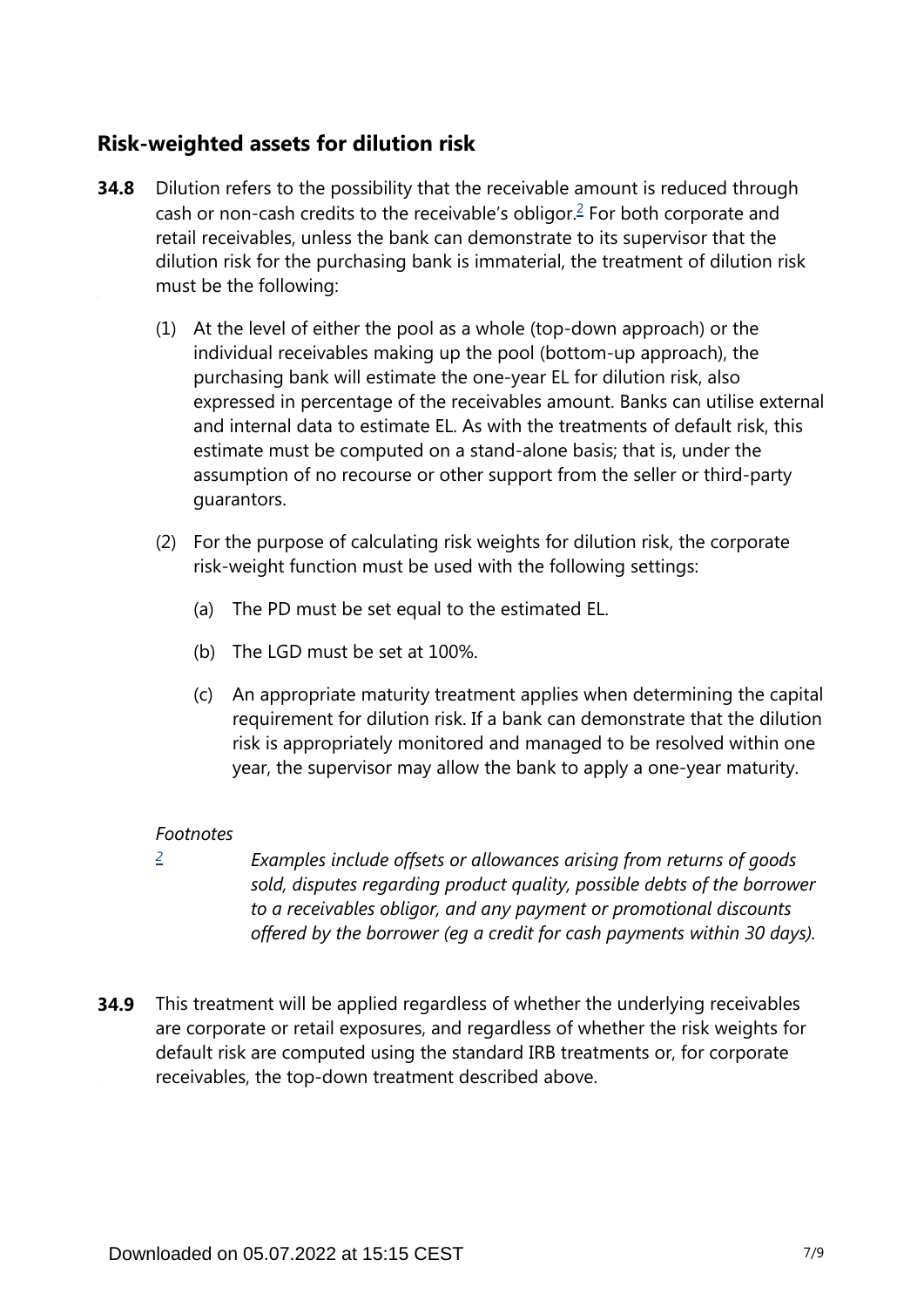### **Risk-weighted assets for dilution risk**

- <span id="page-6-1"></span>Dilution refers to the possibility that the receivable amount is reduced through cash or non-cash credits to the receivable's obligor. $\frac{2}{5}$  $\frac{2}{5}$  $\frac{2}{5}$  For both corporate and retail receivables, unless the bank can demonstrate to its supervisor that the dilution risk for the purchasing bank is immaterial, the treatment of dilution risk must be the following: **34.8**
	- (1) At the level of either the pool as a whole (top-down approach) or the individual receivables making up the pool (bottom-up approach), the purchasing bank will estimate the one-year EL for dilution risk, also expressed in percentage of the receivables amount. Banks can utilise external and internal data to estimate EL. As with the treatments of default risk, this estimate must be computed on a stand-alone basis; that is, under the assumption of no recourse or other support from the seller or third-party guarantors.
	- (2) For the purpose of calculating risk weights for dilution risk, the corporate risk-weight function must be used with the following settings:
		- (a) The PD must be set equal to the estimated EL.
		- (b) The LGD must be set at 100%.
		- (c) An appropriate maturity treatment applies when determining the capital requirement for dilution risk. If a bank can demonstrate that the dilution risk is appropriately monitored and managed to be resolved within one year, the supervisor may allow the bank to apply a one-year maturity.

#### *Footnotes*

<span id="page-6-0"></span>*[2](#page-6-1)*

*Examples include offsets or allowances arising from returns of goods sold, disputes regarding product quality, possible debts of the borrower to a receivables obligor, and any payment or promotional discounts offered by the borrower (eg a credit for cash payments within 30 days).*

**34.9** This treatment will be applied regardless of whether the underlying receivables are corporate or retail exposures, and regardless of whether the risk weights for default risk are computed using the standard IRB treatments or, for corporate receivables, the top-down treatment described above.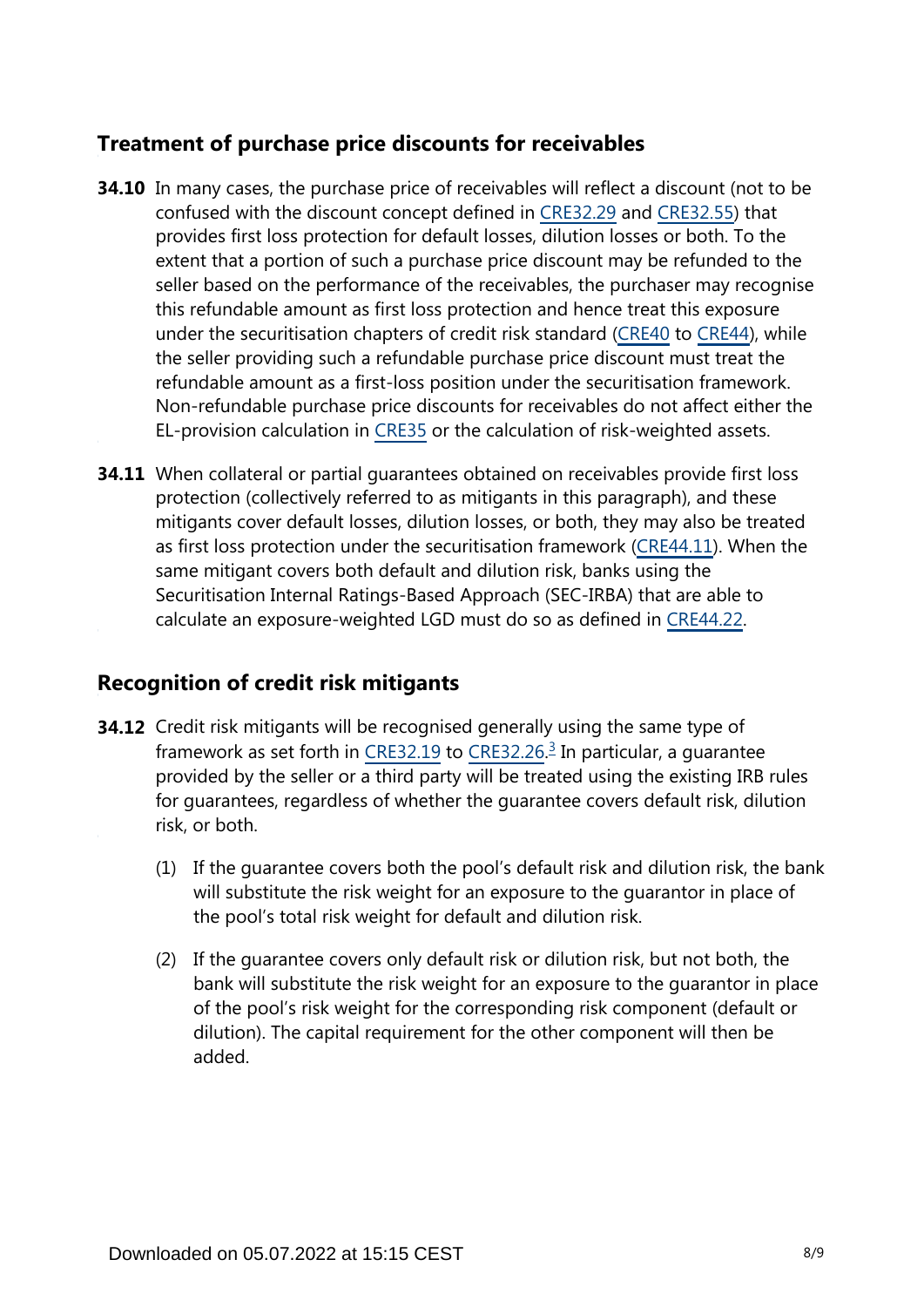## **Treatment of purchase price discounts for receivables**

- **34.10** In many cases, the purchase price of receivables will reflect a discount (not to be confused with the discount concept defined in [CRE32.29](https://www.bis.org/basel_framework/chapter/CRE/32.htm?tldate=20220101&inforce=20191215&published=20191215#paragraph_CRE_32_20191215_32_29) and [CRE32.55\)](https://www.bis.org/basel_framework/chapter/CRE/32.htm?tldate=20220101&inforce=20191215&published=20191215#paragraph_CRE_32_20191215_32_55) that provides first loss protection for default losses, dilution losses or both. To the extent that a portion of such a purchase price discount may be refunded to the seller based on the performance of the receivables, the purchaser may recognise this refundable amount as first loss protection and hence treat this exposure under the securitisation chapters of credit risk standard [\(CRE40](https://www.bis.org/basel_framework/chapter/CRE/40.htm?tldate=20220101&inforce=20191215&published=20191215) to [CRE44\)](https://www.bis.org/basel_framework/chapter/CRE/44.htm?tldate=20220101&inforce=20191215&published=20191215), while the seller providing such a refundable purchase price discount must treat the refundable amount as a first-loss position under the securitisation framework. Non-refundable purchase price discounts for receivables do not affect either the EL-provision calculation in [CRE35](https://www.bis.org/basel_framework/chapter/CRE/35.htm?tldate=20220101&inforce=20191215&published=20191215) or the calculation of risk-weighted assets.
- **34.11** When collateral or partial guarantees obtained on receivables provide first loss protection (collectively referred to as mitigants in this paragraph), and these mitigants cover default losses, dilution losses, or both, they may also be treated as first loss protection under the securitisation framework [\(CRE44.11](https://www.bis.org/basel_framework/chapter/CRE/44.htm?tldate=20220101&inforce=20191215&published=20191215#paragraph_CRE_44_20191215_44_11)). When the same mitigant covers both default and dilution risk, banks using the Securitisation Internal Ratings-Based Approach (SEC-IRBA) that are able to calculate an exposure-weighted LGD must do so as defined in [CRE44.22.](https://www.bis.org/basel_framework/chapter/CRE/44.htm?tldate=20220101&inforce=20191215&published=20191215#paragraph_CRE_44_20191215_44_22)

#### **Recognition of credit risk mitigants**

- <span id="page-7-0"></span>**34.12** Credit risk mitigants will be recognised generally using the same type of framework as set forth in [CRE32.19](https://www.bis.org/basel_framework/chapter/CRE/32.htm?tldate=20220101&inforce=20191215&published=20191215#paragraph_CRE_32_20191215_32_19) to [CRE32.26](https://www.bis.org/basel_framework/chapter/CRE/32.htm?tldate=20220101&inforce=20191215&published=20191215#paragraph_CRE_32_20191215_32_26).<sup>[3](#page-8-0)</sup> In particular, a guarantee provided by the seller or a third party will be treated using the existing IRB rules for guarantees, regardless of whether the guarantee covers default risk, dilution risk, or both.
	- (1) If the guarantee covers both the pool's default risk and dilution risk, the bank will substitute the risk weight for an exposure to the guarantor in place of the pool's total risk weight for default and dilution risk.
	- (2) If the guarantee covers only default risk or dilution risk, but not both, the bank will substitute the risk weight for an exposure to the guarantor in place of the pool's risk weight for the corresponding risk component (default or dilution). The capital requirement for the other component will then be added.